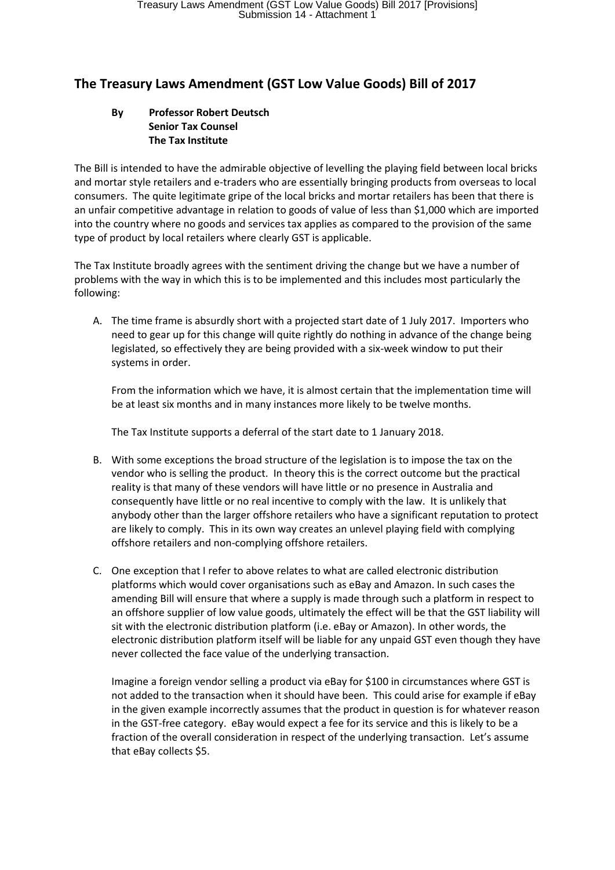## **The Treasury Laws Amendment (GST Low Value Goods) Bill of 2017**

## **By Professor Robert Deutsch Senior Tax Counsel The Tax Institute**

The Bill is intended to have the admirable objective of levelling the playing field between local bricks and mortar style retailers and e-traders who are essentially bringing products from overseas to local consumers. The quite legitimate gripe of the local bricks and mortar retailers has been that there is an unfair competitive advantage in relation to goods of value of less than \$1,000 which are imported into the country where no goods and services tax applies as compared to the provision of the same type of product by local retailers where clearly GST is applicable.

The Tax Institute broadly agrees with the sentiment driving the change but we have a number of problems with the way in which this is to be implemented and this includes most particularly the following:

A. The time frame is absurdly short with a projected start date of 1 July 2017. Importers who need to gear up for this change will quite rightly do nothing in advance of the change being legislated, so effectively they are being provided with a six-week window to put their systems in order.

From the information which we have, it is almost certain that the implementation time will be at least six months and in many instances more likely to be twelve months.

The Tax Institute supports a deferral of the start date to 1 January 2018.

- B. With some exceptions the broad structure of the legislation is to impose the tax on the vendor who is selling the product. In theory this is the correct outcome but the practical reality is that many of these vendors will have little or no presence in Australia and consequently have little or no real incentive to comply with the law. It is unlikely that anybody other than the larger offshore retailers who have a significant reputation to protect are likely to comply. This in its own way creates an unlevel playing field with complying offshore retailers and non-complying offshore retailers.
- C. One exception that I refer to above relates to what are called electronic distribution platforms which would cover organisations such as eBay and Amazon. In such cases the amending Bill will ensure that where a supply is made through such a platform in respect to an offshore supplier of low value goods, ultimately the effect will be that the GST liability will sit with the electronic distribution platform (i.e. eBay or Amazon). In other words, the electronic distribution platform itself will be liable for any unpaid GST even though they have never collected the face value of the underlying transaction.

Imagine a foreign vendor selling a product via eBay for \$100 in circumstances where GST is not added to the transaction when it should have been. This could arise for example if eBay in the given example incorrectly assumes that the product in question is for whatever reason in the GST-free category. eBay would expect a fee for its service and this is likely to be a fraction of the overall consideration in respect of the underlying transaction. Let's assume that eBay collects \$5.